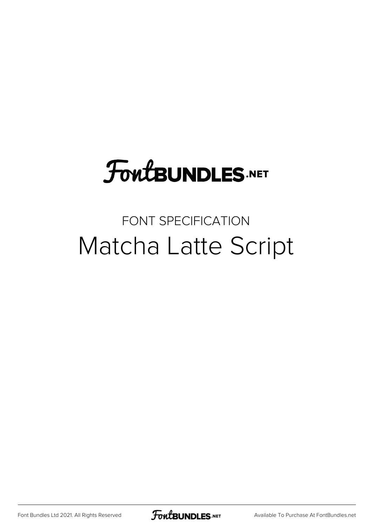# **FoutBUNDLES.NET**

#### FONT SPECIFICATION Matcha Latte Script

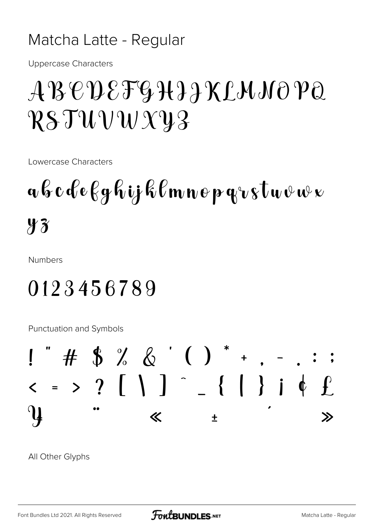#### Matcha Latte - Regular

**Uppercase Characters** 

### ABEDEFGHIJKLMNOPQ RSTUVWXY3

Lowercase Characters

## $\mathbf{u}\, \mathbf{\mathcal{C}}$  c cle  $\mathbf{\mathcal{C}}$ g hij k l m n o p g $\mathbf{v}\, \mathbf{v}$ t u v w x  $43$

**Numbers** 

#### 0123456789

Punctuation and Symbols



All Other Glyphs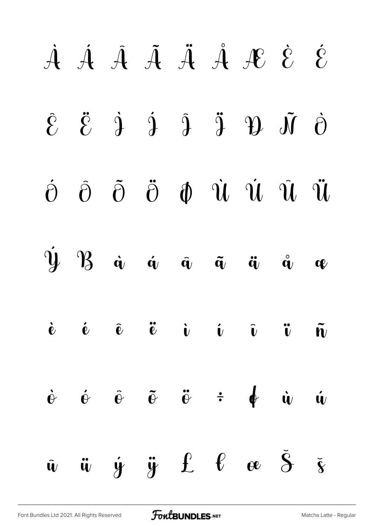# À Á Â Ã Ä Å Æ È É  $\hat{\mathcal{E}}$   $\ddot{\mathcal{E}}$   $\dot{\mathcal{A}}$   $\dot{\mathcal{Y}}$   $\ddot{\mathcal{Y}}$   $\ddot{\mathcal{Y}}$   $\ddot{\mathcal{Y}}$   $\ddot{\mathcal{O}}$ Ó Ô Õ Ö Ø Ù Ú Û Ü  $\dot{y}$   $\beta$   $\dot{a}$   $\dot{a}$   $\ddot{a}$   $\ddot{a}$   $\ddot{a}$   $\ddot{a}$   $a$  $\dot{\mathbf{e}}$   $\dot{\mathbf{e}}$   $\ddot{\mathbf{e}}$   $\ddot{\mathbf{e}}$   $\dot{\mathbf{v}}$   $\dot{\mathbf{v}}$   $\ddot{\mathbf{v}}$   $\ddot{\mathbf{v}}$   $\ddot{\mathbf{v}}$   $\ddot{\mathbf{v}}$  $\dot{\mathbf{e}}$   $\dot{\mathbf{e}}$   $\ddot{\mathbf{e}}$   $\ddot{\mathbf{e}}$   $\ddot{\mathbf{e}}$   $\ddot{\mathbf{e}}$   $\ddot{\mathbf{e}}$   $\dot{\mathbf{e}}$   $\dot{\mathbf{e}}$   $\dot{\mathbf{u}}$   $\dot{\mathbf{u}}$  $\tilde{u}$   $\ddot{u}$   $\dot{y}$   $\ddot{y}$   $\dot{L}$   $\ell$   $\omega$   $\ddot{S}$   $\ddot{\delta}$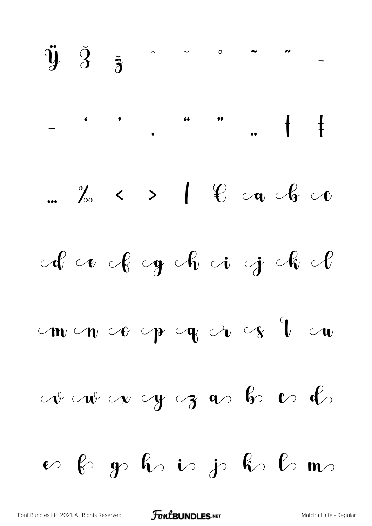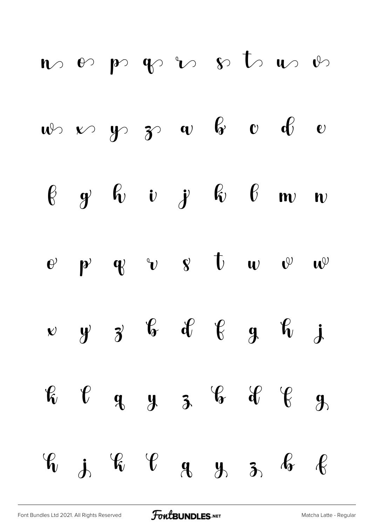|  |  | $\mathfrak n$ or $\mathfrak p$ $\mathfrak p$ $\mathfrak v$ $\mathfrak v$ $\mathfrak b$ $\mathfrak w$ $\mathfrak v$   |  |  |
|--|--|----------------------------------------------------------------------------------------------------------------------|--|--|
|  |  | $w$ $\sim$ $y$ $3$ $w$ $6$ $c$ $d$ $e$                                                                               |  |  |
|  |  | $\begin{array}{ccccccccc}\n & & & & & & \\  & & g & & & & & \\  & & & & & & & & \\ \end{array}$                      |  |  |
|  |  | $\mathbf{e}$ $\mathbf{p}$ $\mathbf{q}$ $\mathbf{v}$ $\mathbf{s}$ $\mathbf{t}$ $\mathbf{w}$ $\mathbf{e}$ $\mathbf{w}$ |  |  |
|  |  | $x$ y z b d b g h j                                                                                                  |  |  |
|  |  | $\kappa$ $\ell$ $\alpha$ $\mu$ $\delta$ $\kappa$ $\ell$ $\gamma$                                                     |  |  |
|  |  |                                                                                                                      |  |  |